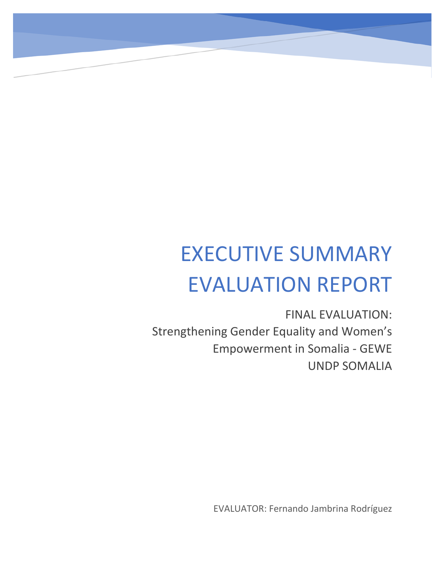# EXECUTIVE SUMMARY EVALUATION REPORT

FINAL EVALUATION: Strengthening Gender Equality and Women's Empowerment in Somalia - GEWE UNDP SOMALIA

EVALUATOR: Fernando Jambrina Rodríguez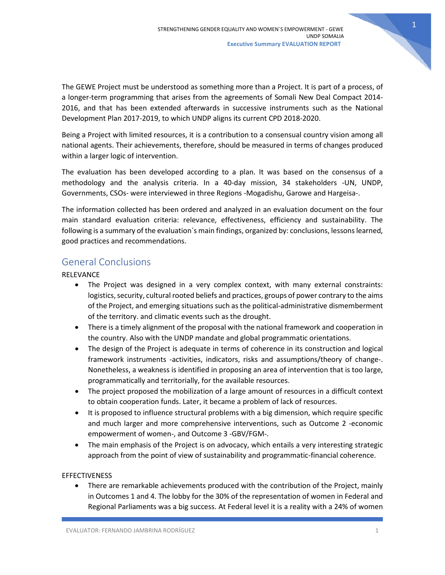The GEWE Project must be understood as something more than a Project. It is part of a process, of a longer-term programming that arises from the agreements of Somali New Deal Compact 2014- 2016, and that has been extended afterwards in successive instruments such as the National Development Plan 2017-2019, to which UNDP aligns its current CPD 2018-2020.

Being a Project with limited resources, it is a contribution to a consensual country vision among all national agents. Their achievements, therefore, should be measured in terms of changes produced within a larger logic of intervention.

The evaluation has been developed according to a plan. It was based on the consensus of a methodology and the analysis criteria. In a 40-day mission, 34 stakeholders -UN, UNDP, Governments, CSOs- were interviewed in three Regions -Mogadishu, Garowe and Hargeisa-.

The information collected has been ordered and analyzed in an evaluation document on the four main standard evaluation criteria: relevance, effectiveness, efficiency and sustainability. The following is a summary of the evaluation´s main findings, organized by: conclusions, lessons learned, good practices and recommendations.

# General Conclusions

## RELEVANCE

- The Project was designed in a very complex context, with many external constraints: logistics, security, cultural rooted beliefs and practices, groups of power contrary to the aims of the Project, and emerging situations such as the political-administrative dismemberment of the territory. and climatic events such as the drought.
- There is a timely alignment of the proposal with the national framework and cooperation in the country. Also with the UNDP mandate and global programmatic orientations.
- The design of the Project is adequate in terms of coherence in its construction and logical framework instruments -activities, indicators, risks and assumptions/theory of change-. Nonetheless, a weakness is identified in proposing an area of intervention that is too large, programmatically and territorially, for the available resources.
- The project proposed the mobilization of a large amount of resources in a difficult context to obtain cooperation funds. Later, it became a problem of lack of resources.
- It is proposed to influence structural problems with a big dimension, which require specific and much larger and more comprehensive interventions, such as Outcome 2 -economic empowerment of women-, and Outcome 3 -GBV/FGM-.
- The main emphasis of the Project is on advocacy, which entails a very interesting strategic approach from the point of view of sustainability and programmatic-financial coherence.

## EFFECTIVENESS

• There are remarkable achievements produced with the contribution of the Project, mainly in Outcomes 1 and 4. The lobby for the 30% of the representation of women in Federal and Regional Parliaments was a big success. At Federal level it is a reality with a 24% of women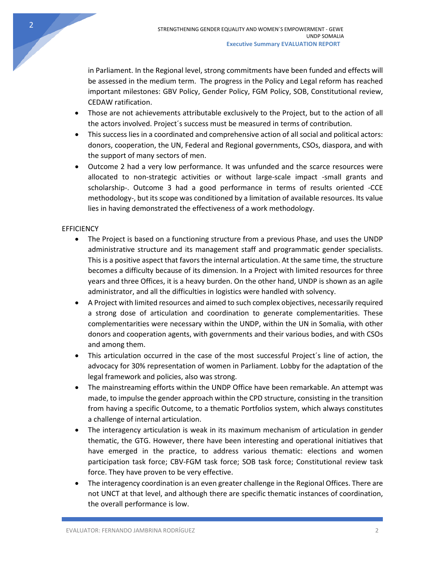in Parliament. In the Regional level, strong commitments have been funded and effects will be assessed in the medium term. The progress in the Policy and Legal reform has reached important milestones: GBV Policy, Gender Policy, FGM Policy, SOB, Constitutional review, CEDAW ratification.

- Those are not achievements attributable exclusively to the Project, but to the action of all the actors involved. Project´s success must be measured in terms of contribution.
- This success lies in a coordinated and comprehensive action of all social and political actors: donors, cooperation, the UN, Federal and Regional governments, CSOs, diaspora, and with the support of many sectors of men.
- Outcome 2 had a very low performance. It was unfunded and the scarce resources were allocated to non-strategic activities or without large-scale impact -small grants and scholarship-. Outcome 3 had a good performance in terms of results oriented -CCE methodology-, but its scope was conditioned by a limitation of available resources. Its value lies in having demonstrated the effectiveness of a work methodology.

## **EFFICIENCY**

- The Project is based on a functioning structure from a previous Phase, and uses the UNDP administrative structure and its management staff and programmatic gender specialists. This is a positive aspect that favors the internal articulation. At the same time, the structure becomes a difficulty because of its dimension. In a Project with limited resources for three years and three Offices, it is a heavy burden. On the other hand, UNDP is shown as an agile administrator, and all the difficulties in logistics were handled with solvency.
- A Project with limited resources and aimed to such complex objectives, necessarily required a strong dose of articulation and coordination to generate complementarities. These complementarities were necessary within the UNDP, within the UN in Somalia, with other donors and cooperation agents, with governments and their various bodies, and with CSOs and among them.
- This articulation occurred in the case of the most successful Project´s line of action, the advocacy for 30% representation of women in Parliament. Lobby for the adaptation of the legal framework and policies, also was strong.
- The mainstreaming efforts within the UNDP Office have been remarkable. An attempt was made, to impulse the gender approach within the CPD structure, consisting in the transition from having a specific Outcome, to a thematic Portfolios system, which always constitutes a challenge of internal articulation.
- The interagency articulation is weak in its maximum mechanism of articulation in gender thematic, the GTG. However, there have been interesting and operational initiatives that have emerged in the practice, to address various thematic: elections and women participation task force; CBV-FGM task force; SOB task force; Constitutional review task force. They have proven to be very effective.
- The interagency coordination is an even greater challenge in the Regional Offices. There are not UNCT at that level, and although there are specific thematic instances of coordination, the overall performance is low.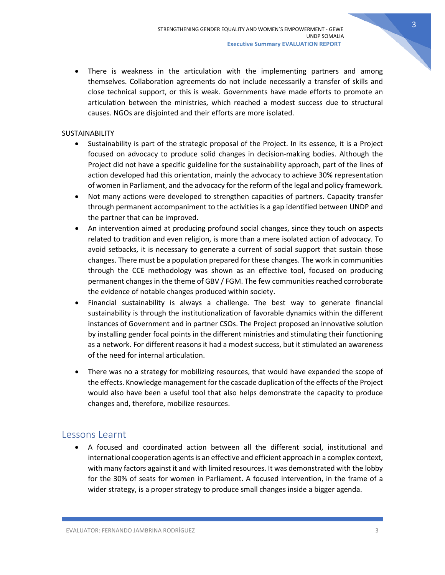There is weakness in the articulation with the implementing partners and among themselves. Collaboration agreements do not include necessarily a transfer of skills and close technical support, or this is weak. Governments have made efforts to promote an articulation between the ministries, which reached a modest success due to structural causes. NGOs are disjointed and their efforts are more isolated.

#### **SUSTAINABILITY**

- Sustainability is part of the strategic proposal of the Project. In its essence, it is a Project focused on advocacy to produce solid changes in decision-making bodies. Although the Project did not have a specific guideline for the sustainability approach, part of the lines of action developed had this orientation, mainly the advocacy to achieve 30% representation of women in Parliament, and the advocacy for the reform of the legal and policy framework.
- Not many actions were developed to strengthen capacities of partners. Capacity transfer through permanent accompaniment to the activities is a gap identified between UNDP and the partner that can be improved.
- An intervention aimed at producing profound social changes, since they touch on aspects related to tradition and even religion, is more than a mere isolated action of advocacy. To avoid setbacks, it is necessary to generate a current of social support that sustain those changes. There must be a population prepared for these changes. The work in communities through the CCE methodology was shown as an effective tool, focused on producing permanent changes in the theme of GBV / FGM. The few communities reached corroborate the evidence of notable changes produced within society.
- Financial sustainability is always a challenge. The best way to generate financial sustainability is through the institutionalization of favorable dynamics within the different instances of Government and in partner CSOs. The Project proposed an innovative solution by installing gender focal points in the different ministries and stimulating their functioning as a network. For different reasons it had a modest success, but it stimulated an awareness of the need for internal articulation.
- There was no a strategy for mobilizing resources, that would have expanded the scope of the effects. Knowledge management for the cascade duplication of the effects of the Project would also have been a useful tool that also helps demonstrate the capacity to produce changes and, therefore, mobilize resources.

## Lessons Learnt

• A focused and coordinated action between all the different social, institutional and international cooperation agents is an effective and efficient approach in a complex context, with many factors against it and with limited resources. It was demonstrated with the lobby for the 30% of seats for women in Parliament. A focused intervention, in the frame of a wider strategy, is a proper strategy to produce small changes inside a bigger agenda.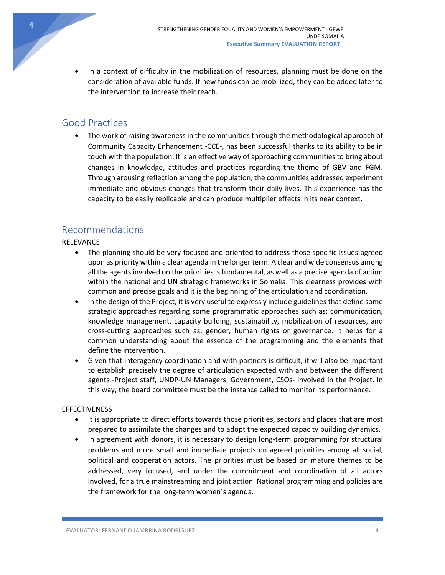• In a context of difficulty in the mobilization of resources, planning must be done on the consideration of available funds. If new funds can be mobilized, they can be added later to the intervention to increase their reach.

# Good Practices

• The work of raising awareness in the communities through the methodological approach of Community Capacity Enhancement -CCE-, has been successful thanks to its ability to be in touch with the population. It is an effective way of approaching communities to bring about changes in knowledge, attitudes and practices regarding the theme of GBV and FGM. Through arousing reflection among the population, the communities addressed experiment immediate and obvious changes that transform their daily lives. This experience has the capacity to be easily replicable and can produce multiplier effects in its near context.

## Recommendations

## RELEVANCE

- The planning should be very focused and oriented to address those specific issues agreed upon as priority within a clear agenda in the longer term. A clear and wide consensus among all the agents involved on the priorities is fundamental, as well as a precise agenda of action within the national and UN strategic frameworks in Somalia. This clearness provides with common and precise goals and it is the beginning of the articulation and coordination.
- In the design of the Project, it is very useful to expressly include guidelines that define some strategic approaches regarding some programmatic approaches such as: communication, knowledge management, capacity building, sustainability, mobilization of resources, and cross-cutting approaches such as: gender, human rights or governance. It helps for a common understanding about the essence of the programming and the elements that define the intervention.
- Given that interagency coordination and with partners is difficult, it will also be important to establish precisely the degree of articulation expected with and between the different agents -Project staff, UNDP-UN Managers, Government, CSOs- involved in the Project. In this way, the board committee must be the instance called to monitor its performance.

## EFFECTIVENESS

- It is appropriate to direct efforts towards those priorities, sectors and places that are most prepared to assimilate the changes and to adopt the expected capacity building dynamics.
- In agreement with donors, it is necessary to design long-term programming for structural problems and more small and immediate projects on agreed priorities among all social, political and cooperation actors. The priorities must be based on mature themes to be addressed, very focused, and under the commitment and coordination of all actors involved, for a true mainstreaming and joint action. National programming and policies are the framework for the long-term women´s agenda.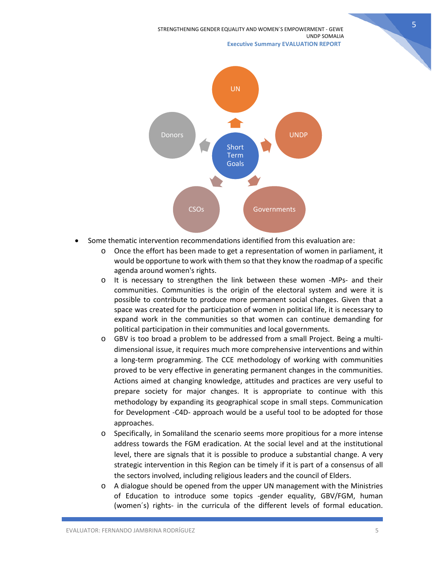STRENGTHENING GENDER EQUALITY AND WOMEN´S EMPOWERMENT - GEWE UNDP SOMALIA  **Executive Summary EVALUATION REPORT**





- Some thematic intervention recommendations identified from this evaluation are:
	- o Once the effort has been made to get a representation of women in parliament, it would be opportune to work with them so that they know the roadmap of a specific agenda around women's rights.
	- o It is necessary to strengthen the link between these women -MPs- and their communities. Communities is the origin of the electoral system and were it is possible to contribute to produce more permanent social changes. Given that a space was created for the participation of women in political life, it is necessary to expand work in the communities so that women can continue demanding for political participation in their communities and local governments.
	- o GBV is too broad a problem to be addressed from a small Project. Being a multidimensional issue, it requires much more comprehensive interventions and within a long-term programming. The CCE methodology of working with communities proved to be very effective in generating permanent changes in the communities. Actions aimed at changing knowledge, attitudes and practices are very useful to prepare society for major changes. It is appropriate to continue with this methodology by expanding its geographical scope in small steps. Communication for Development -C4D- approach would be a useful tool to be adopted for those approaches.
	- o Specifically, in Somaliland the scenario seems more propitious for a more intense address towards the FGM eradication. At the social level and at the institutional level, there are signals that it is possible to produce a substantial change. A very strategic intervention in this Region can be timely if it is part of a consensus of all the sectors involved, including religious leaders and the council of Elders.
	- $\circ$  A dialogue should be opened from the upper UN management with the Ministries of Education to introduce some topics -gender equality, GBV/FGM, human (women´s) rights- in the curricula of the different levels of formal education.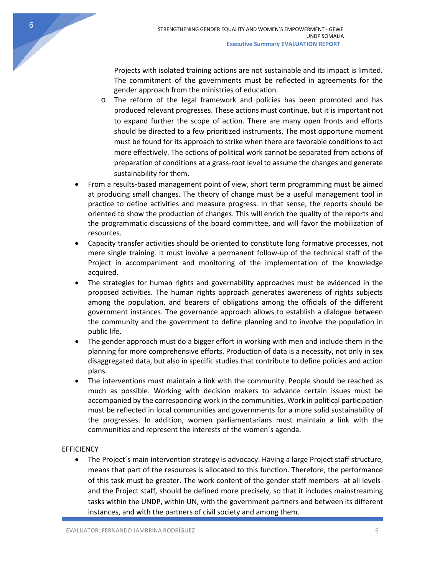Projects with isolated training actions are not sustainable and its impact is limited. The commitment of the governments must be reflected in agreements for the gender approach from the ministries of education.

- o The reform of the legal framework and policies has been promoted and has produced relevant progresses. These actions must continue, but it is important not to expand further the scope of action. There are many open fronts and efforts should be directed to a few prioritized instruments. The most opportune moment must be found for its approach to strike when there are favorable conditions to act more effectively. The actions of political work cannot be separated from actions of preparation of conditions at a grass-root level to assume the changes and generate sustainability for them.
- From a results-based management point of view, short term programming must be aimed at producing small changes. The theory of change must be a useful management tool in practice to define activities and measure progress. In that sense, the reports should be oriented to show the production of changes. This will enrich the quality of the reports and the programmatic discussions of the board committee, and will favor the mobilization of resources.
- Capacity transfer activities should be oriented to constitute long formative processes, not mere single training. It must involve a permanent follow-up of the technical staff of the Project in accompaniment and monitoring of the implementation of the knowledge acquired.
- The strategies for human rights and governability approaches must be evidenced in the proposed activities. The human rights approach generates awareness of rights subjects among the population, and bearers of obligations among the officials of the different government instances. The governance approach allows to establish a dialogue between the community and the government to define planning and to involve the population in public life.
- The gender approach must do a bigger effort in working with men and include them in the planning for more comprehensive efforts. Production of data is a necessity, not only in sex disaggregated data, but also in specific studies that contribute to define policies and action plans.
- The interventions must maintain a link with the community. People should be reached as much as possible. Working with decision makers to advance certain issues must be accompanied by the corresponding work in the communities. Work in political participation must be reflected in local communities and governments for a more solid sustainability of the progresses. In addition, women parliamentarians must maintain a link with the communities and represent the interests of the women´s agenda.

## **EFFICIENCY**

• The Project´s main intervention strategy is advocacy. Having a large Project staff structure, means that part of the resources is allocated to this function. Therefore, the performance of this task must be greater. The work content of the gender staff members -at all levelsand the Project staff, should be defined more precisely, so that it includes mainstreaming tasks within the UNDP, within UN, with the government partners and between its different instances, and with the partners of civil society and among them.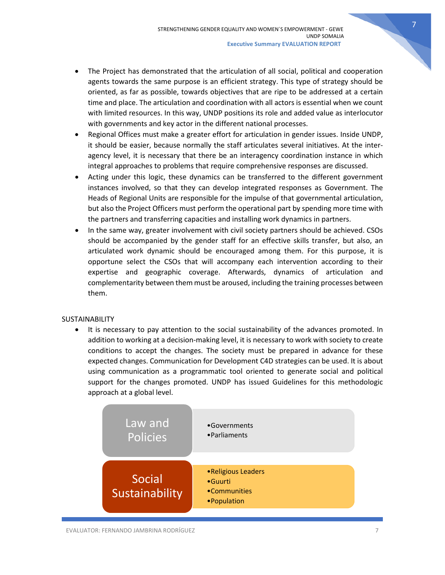- The Project has demonstrated that the articulation of all social, political and cooperation agents towards the same purpose is an efficient strategy. This type of strategy should be oriented, as far as possible, towards objectives that are ripe to be addressed at a certain time and place. The articulation and coordination with all actors is essential when we count with limited resources. In this way, UNDP positions its role and added value as interlocutor with governments and key actor in the different national processes.
- Regional Offices must make a greater effort for articulation in gender issues. Inside UNDP, it should be easier, because normally the staff articulates several initiatives. At the interagency level, it is necessary that there be an interagency coordination instance in which integral approaches to problems that require comprehensive responses are discussed.
- Acting under this logic, these dynamics can be transferred to the different government instances involved, so that they can develop integrated responses as Government. The Heads of Regional Units are responsible for the impulse of that governmental articulation, but also the Project Officers must perform the operational part by spending more time with the partners and transferring capacities and installing work dynamics in partners.
- In the same way, greater involvement with civil society partners should be achieved. CSOs should be accompanied by the gender staff for an effective skills transfer, but also, an articulated work dynamic should be encouraged among them. For this purpose, it is opportune select the CSOs that will accompany each intervention according to their expertise and geographic coverage. Afterwards, dynamics of articulation and complementarity between them must be aroused, including the training processes between them.

## **SUSTAINABILITY**

• It is necessary to pay attention to the social sustainability of the advances promoted. In addition to working at a decision-making level, it is necessary to work with society to create conditions to accept the changes. The society must be prepared in advance for these expected changes. Communication for Development C4D strategies can be used. It is about using communication as a programmatic tool oriented to generate social and political support for the changes promoted. UNDP has issued Guidelines for this methodologic approach at a global level.